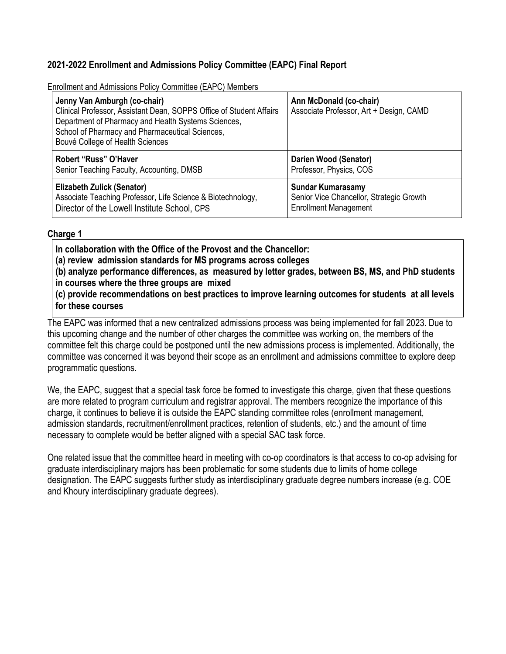## **2021-2022 Enrollment and Admissions Policy Committee (EAPC) Final Report**

Enrollment and Admissions Policy Committee (EAPC) Members

| Jenny Van Amburgh (co-chair)<br>Clinical Professor, Assistant Dean, SOPPS Office of Student Affairs<br>Department of Pharmacy and Health Systems Sciences,<br>School of Pharmacy and Pharmaceutical Sciences,<br>Bouvé College of Health Sciences | Ann McDonald (co-chair)<br>Associate Professor, Art + Design, CAMD |
|---------------------------------------------------------------------------------------------------------------------------------------------------------------------------------------------------------------------------------------------------|--------------------------------------------------------------------|
| Robert "Russ" O'Haver                                                                                                                                                                                                                             | <b>Darien Wood (Senator)</b>                                       |
| Senior Teaching Faculty, Accounting, DMSB                                                                                                                                                                                                         | Professor, Physics, COS                                            |
| <b>Elizabeth Zulick (Senator)</b>                                                                                                                                                                                                                 | <b>Sundar Kumarasamy</b>                                           |
| Associate Teaching Professor, Life Science & Biotechnology,                                                                                                                                                                                       | Senior Vice Chancellor, Strategic Growth                           |
| Director of the Lowell Institute School, CPS                                                                                                                                                                                                      | <b>Enrollment Management</b>                                       |

#### **Charge 1**

**In collaboration with the Office of the Provost and the Chancellor:**

**(a) review admission standards for MS programs across colleges**

**(b) analyze performance differences, as measured by letter grades, between BS, MS, and PhD students in courses where the three groups are mixed**

**(c) provide recommendations on best practices to improve learning outcomes for students at all levels for these courses**

The EAPC was informed that a new centralized admissions process was being implemented for fall 2023. Due to this upcoming change and the number of other charges the committee was working on, the members of the committee felt this charge could be postponed until the new admissions process is implemented. Additionally, the committee was concerned it was beyond their scope as an enrollment and admissions committee to explore deep programmatic questions.

We, the EAPC, suggest that a special task force be formed to investigate this charge, given that these questions are more related to program curriculum and registrar approval. The members recognize the importance of this charge, it continues to believe it is outside the EAPC standing committee roles (enrollment management, admission standards, recruitment/enrollment practices, retention of students, etc.) and the amount of time necessary to complete would be better aligned with a special SAC task force.

One related issue that the committee heard in meeting with co-op coordinators is that access to co-op advising for graduate interdisciplinary majors has been problematic for some students due to limits of home college designation. The EAPC suggests further study as interdisciplinary graduate degree numbers increase (e.g. COE and Khoury interdisciplinary graduate degrees).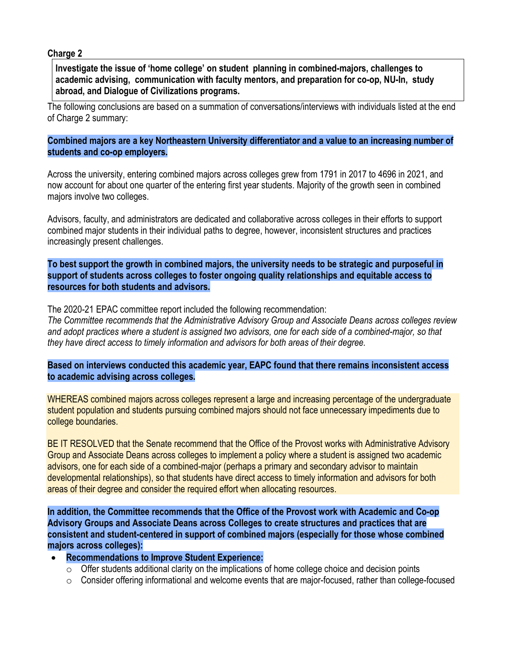#### **Charge 2**

**Investigate the issue of 'home college' on student planning in combined-majors, challenges to academic advising, communication with faculty mentors, and preparation for co-op, NU-In, study abroad, and Dialogue of Civilizations programs.**

The following conclusions are based on a summation of conversations/interviews with individuals listed at the end of Charge 2 summary:

**Combined majors are a key Northeastern University differentiator and a value to an increasing number of students and co-op employers.**

Across the university, entering combined majors across colleges grew from 1791 in 2017 to 4696 in 2021, and now account for about one quarter of the entering first year students. Majority of the growth seen in combined majors involve two colleges.

Advisors, faculty, and administrators are dedicated and collaborative across colleges in their efforts to support combined major students in their individual paths to degree, however, inconsistent structures and practices increasingly present challenges.

**To best support the growth in combined majors, the university needs to be strategic and purposeful in support of students across colleges to foster ongoing quality relationships and equitable access to resources for both students and advisors.**

The 2020-21 EPAC committee report included the following recommendation:

*The Committee recommends that the Administrative Advisory Group and Associate Deans across colleges review* and adopt practices where a student is assigned two advisors, one for each side of a combined-major, so that *they have direct access to timely information and advisors for both areas of their degree.*

**Based on interviews conducted this academic year, EAPC found that there remains inconsistent access to academic advising across colleges.**

WHEREAS combined majors across colleges represent a large and increasing percentage of the undergraduate student population and students pursuing combined majors should not face unnecessary impediments due to college boundaries.

BE IT RESOLVED that the Senate recommend that the Office of the Provost works with Administrative Advisory Group and Associate Deans across colleges to implement a policy where a student is assigned two academic advisors, one for each side of a combined-major (perhaps a primary and secondary advisor to maintain developmental relationships), so that students have direct access to timely information and advisors for both areas of their degree and consider the required effort when allocating resources.

**In addition, the Committee recommends that the Office of the Provost work with Academic and Co-op Advisory Groups and Associate Deans across Colleges to create structures and practices that are consistent and student-centered in support of combined majors (especially for those whose combined majors across colleges):**

- **Recommendations to Improve Student Experience:**
	- $\circ$  Offer students additional clarity on the implications of home college choice and decision points
	- $\circ$  Consider offering informational and welcome events that are major-focused, rather than college-focused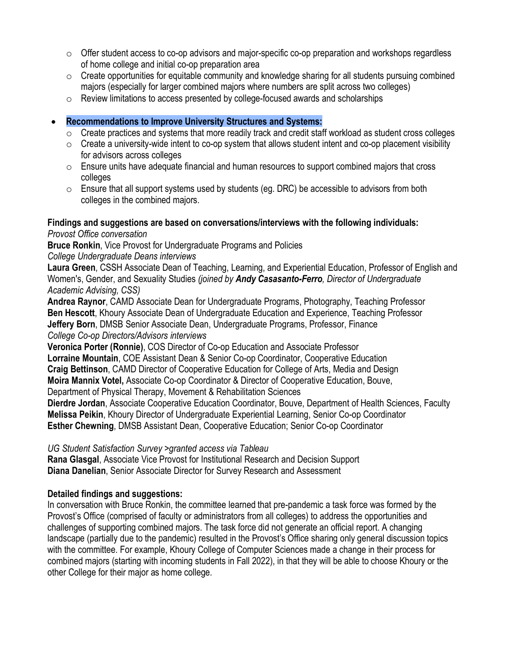- o Offer student access to co-op advisors and major-specific co-op preparation and workshops regardless of home college and initial co-op preparation area
- $\circ$  Create opportunities for equitable community and knowledge sharing for all students pursuing combined majors (especially for larger combined majors where numbers are split across two colleges)
- $\circ$  Review limitations to access presented by college-focused awards and scholarships

#### • **Recommendations to Improve University Structures and Systems:**

- $\circ$  Create practices and systems that more readily track and credit staff workload as student cross colleges
- $\circ$  Create a university-wide intent to co-op system that allows student intent and co-op placement visibility for advisors across colleges
- $\circ$  Ensure units have adequate financial and human resources to support combined majors that cross colleges
- $\circ$  Ensure that all support systems used by students (eq. DRC) be accessible to advisors from both colleges in the combined majors.

# **Findings and suggestions are based on conversations/interviews with the following individuals:**

*Provost Office conversation*

**Bruce Ronkin**, Vice Provost for Undergraduate Programs and Policies

*College Undergraduate Deans interviews*

**Laura Green**, CSSH Associate Dean of Teaching, Learning, and Experiential Education, Professor of English and Women's, Gender, and Sexuality Studies *(joined by Andy Casasanto-Ferro, Director of Undergraduate Academic Advising, CSS)*

**Andrea Raynor**, CAMD Associate Dean for Undergraduate Programs, Photography, Teaching Professor **Ben Hescott**, Khoury Associate Dean of Undergraduate Education and Experience, Teaching Professor **Jeffery Born**, DMSB Senior Associate Dean, Undergraduate Programs, Professor, Finance *College Co-op Directors/Advisors interviews*

**Veronica Porter (Ronnie)**, COS Director of Co-op Education and Associate Professor

**Lorraine Mountain**, COE Assistant Dean & Senior Co-op Coordinator, Cooperative Education

**Craig Bettinson**, CAMD Director of Cooperative Education for College of Arts, Media and Design

**Moira Mannix Votel,** Associate Co-op Coordinator & Director of Cooperative Education, Bouve,

Department of Physical Therapy, Movement & Rehabilitation Sciences

**Dierdre Jordan**, Associate Cooperative Education Coordinator, Bouve, Department of Health Sciences, Faculty **Melissa Peikin**, Khoury Director of Undergraduate Experiential Learning, Senior Co-op Coordinator **Esther Chewning**, DMSB Assistant Dean, Cooperative Education; Senior Co-op Coordinator

*UG Student Satisfaction Survey >granted access via Tableau*

**Rana Glasgal**, Associate Vice Provost for Institutional Research and Decision Support **Diana Danelian**, Senior Associate Director for Survey Research and Assessment

## **Detailed findings and suggestions:**

In conversation with Bruce Ronkin, the committee learned that pre-pandemic a task force was formed by the Provost's Office (comprised of faculty or administrators from all colleges) to address the opportunities and challenges of supporting combined majors. The task force did not generate an official report. A changing landscape (partially due to the pandemic) resulted in the Provost's Office sharing only general discussion topics with the committee. For example, Khoury College of Computer Sciences made a change in their process for combined majors (starting with incoming students in Fall 2022), in that they will be able to choose Khoury or the other College for their major as home college.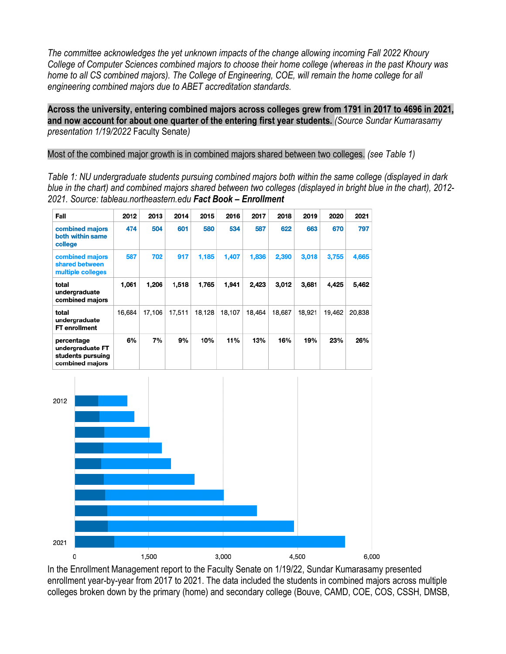*The committee acknowledges the yet unknown impacts of the change allowing incoming Fall 2022 Khoury College of Computer Sciences combined majors to choose their home college (whereas in the past Khoury was* home to all CS combined majors). The College of Engineering, COE, will remain the home college for all *engineering combined majors due to ABET accreditation standards.*

**Across the university, entering combined majors across colleges grew from 1791 in 2017 to 4696 in 2021, and now account for about one quarter of the entering first year students.** *(Source Sundar Kumarasamy presentation 1/19/2022* Faculty Senate*)*

Most of the combined major growth is in combined majors shared between two colleges. *(see Table 1)*

*Table 1: NU undergraduate students pursuing combined majors both within the same college (displayed in dark* blue in the chart) and combined majors shared between two colleges (displayed in bright blue in the chart), 2012-*2021. Source: tableau.northeastern.edu Fact Book – Enrollment*

| Fall                                                                   | 2012   | 2013   | 2014   | 2015   | 2016   | 2017   | 2018   | 2019   | 2020   | 2021   |
|------------------------------------------------------------------------|--------|--------|--------|--------|--------|--------|--------|--------|--------|--------|
| combined majors<br>both within same<br>college                         | 474    | 504    | 601    | 580    | 534    | 587    | 622    | 663    | 670    | 797    |
| combined majors<br>shared between<br>multiple colleges                 | 587    | 702    | 917    | 1,185  | 1,407  | 1,836  | 2,390  | 3,018  | 3,755  | 4,665  |
| total<br>undergraduate<br>combined majors                              | 1,061  | 1,206  | 1,518  | 1,765  | 1,941  | 2,423  | 3,012  | 3.681  | 4,425  | 5,462  |
| total<br>undergraduate<br>FT enrollment                                | 16,684 | 17,106 | 17,511 | 18,128 | 18,107 | 18,464 | 18,687 | 18,921 | 19,462 | 20,838 |
| percentage<br>undergraduate FT<br>students pursuing<br>combined majors | 6%     | 7%     | 9%     | 10%    | 11%    | 13%    | 16%    | 19%    | 23%    | 26%    |



In the Enrollment Management report to the Faculty Senate on 1/19/22, Sundar Kumarasamy presented enrollment year-by-year from 2017 to 2021. The data included the students in combined majors across multiple colleges broken down by the primary (home) and secondary college (Bouve, CAMD, COE, COS, CSSH, DMSB,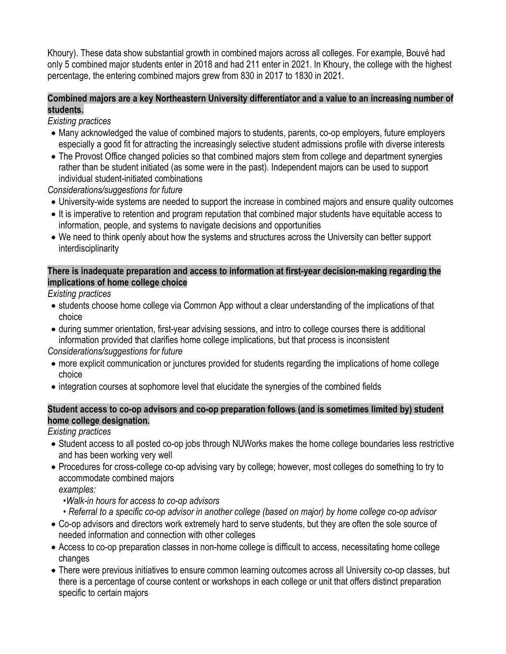Khoury). These data show substantial growth in combined majors across all colleges. For example, Bouvé had only 5 combined major students enter in 2018 and had 211 enter in 2021. In Khoury, the college with the highest percentage, the entering combined majors grew from 830 in 2017 to 1830 in 2021.

## **Combined majors are a key Northeastern University differentiator and a value to an increasing number of students.**

*Existing practices*

- Many acknowledged the value of combined majors to students, parents, co-op employers, future employers especially a good fit for attracting the increasingly selective student admissions profile with diverse interests
- The Provost Office changed policies so that combined majors stem from college and department synergies rather than be student initiated (as some were in the past). Independent majors can be used to support individual student-initiated combinations

*Considerations/suggestions for future*

- University-wide systems are needed to support the increase in combined majors and ensure quality outcomes
- It is imperative to retention and program reputation that combined major students have equitable access to information, people, and systems to navigate decisions and opportunities
- We need to think openly about how the systems and structures across the University can better support interdisciplinarity

## **There is inadequate preparation and access to information at first-year decision-making regarding the implications of home college choice**

*Existing practices*

- students choose home college via Common App without a clear understanding of the implications of that choice
- during summer orientation, first-year advising sessions, and intro to college courses there is additional information provided that clarifies home college implications, but that process is inconsistent

*Considerations/suggestions for future*

- more explicit communication or junctures provided for students regarding the implications of home college choice
- integration courses at sophomore level that elucidate the synergies of the combined fields

## **Student access to co-op advisors and co-op preparation follows (and is sometimes limited by) student home college designation.**

*Existing practices*

- Student access to all posted co-op jobs through NUWorks makes the home college boundaries less restrictive and has been working very well
- Procedures for cross-college co-op advising vary by college; however, most colleges do something to try to accommodate combined majors

*examples:*

- *•Walk-in hours for access to co-op advisors*
- Referral to a specific co-op advisor in another college (based on major) by home college co-op advisor
- Co-op advisors and directors work extremely hard to serve students, but they are often the sole source of needed information and connection with other colleges
- Access to co-op preparation classes in non-home college is difficult to access, necessitating home college changes
- There were previous initiatives to ensure common learning outcomes across all University co-op classes, but there is a percentage of course content or workshops in each college or unit that offers distinct preparation specific to certain majors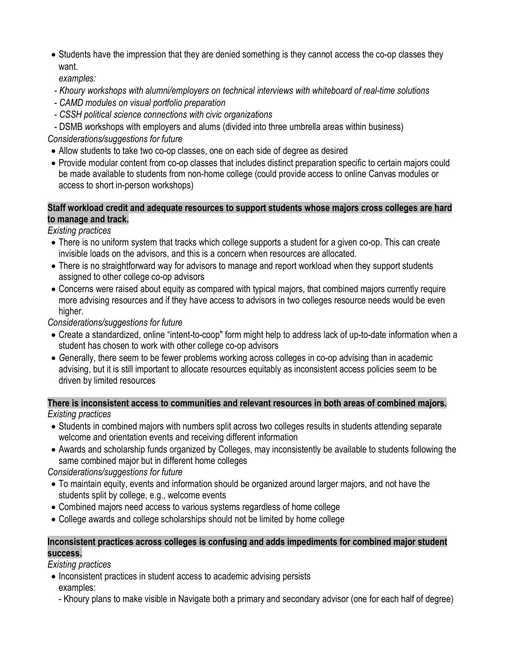• Students have the impression that they are denied something is they cannot access the co-op classes they want.

*examples:*

- *Khoury workshops with alumni/employers on technical interviews with whiteboard of real-time solutions*
- *CAMD modules on visual portfolio preparation*
- *CSSH political science connections with civic organizations*
- DSMB *w*orkshops with employers and alums (divided into three umbrella areas within business)

*Considerations/suggestions for future*

- Allow students to take two co-op classes, one on each side of degree as desired
- Provide modular content from co-op classes that includes distinct preparation specific to certain majors could be made available to students from non-home college (could provide access to online Canvas modules or access to short in-person workshops)

## **Staff workload credit and adequate resources to support students whose majors cross colleges are hard to manage and track.**

*Existing practices*

- There is no uniform system that tracks which college supports a student for a given co-op. This can create invisible loads on the advisors, and this is a concern when resources are allocated.
- There is no straightforward way for advisors to manage and report workload when they support students assigned to other college co-op advisors
- Concerns were raised about equity as compared with typical majors, that combined majors currently require more advising resources and if they have access to advisors in two colleges resource needs would be even higher.

*Considerations/suggestions for future*

- Create a standardized, online "intent-to-coop" form might help to address lack of up-to-date information when a student has chosen to work with other college co-op advisors
- *G*enerally, there seem to be fewer problems working across colleges in co-op advising than in academic advising, but it is still important to allocate resources equitably as inconsistent access policies seem to be driven by limited resources

**There is inconsistent access to communities and relevant resources in both areas of combined majors.** *Existing practices*

- Students in combined majors with numbers split across two colleges results in students attending separate welcome and orientation events and receiving different information
- Awards and scholarship funds organized by Colleges, may inconsistently be available to students following the same combined major but in different home colleges

*Considerations/suggestions for future*

- To maintain equity, events and information should be organized around larger majors, and not have the students split by college, e.g., welcome events
- Combined majors need access to various systems regardless of home college
- College awards and college scholarships should not be limited by home college

## **Inconsistent practices across colleges is confusing and adds impediments for combined major student success.**

*Existing practices*

- Inconsistent practices in student access to academic advising persists examples:
	- Khoury plans to make visible in Navigate both a primary and secondary advisor (one for each half of degree)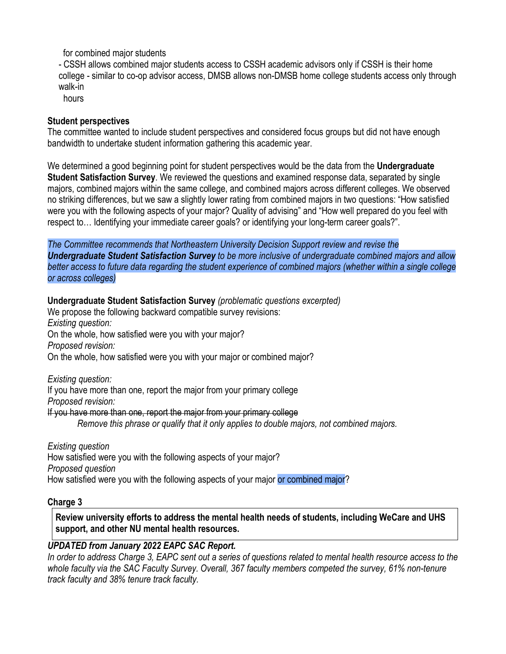for combined major students

- CSSH allows combined major students access to CSSH academic advisors only if CSSH is their home college - similar to co-op advisor access, DMSB allows non-DMSB home college students access only through walk-in

hours

#### **Student perspectives**

The committee wanted to include student perspectives and considered focus groups but did not have enough bandwidth to undertake student information gathering this academic year.

We determined a good beginning point for student perspectives would be the data from the **Undergraduate Student Satisfaction Survey**. We reviewed the questions and examined response data, separated by single majors, combined majors within the same college, and combined majors across different colleges. We observed no striking differences, but we saw a slightly lower rating from combined majors in two questions: "How satisfied were you with the following aspects of your major? Quality of advising" and "How well prepared do you feel with respect to… Identifying your immediate career goals? or identifying your long-term career goals?".

*The Committee recommends that Northeastern University Decision Support review and revise the Undergraduate Student Satisfaction Survey to be more inclusive of undergraduate combined majors and allow* better access to future data regarding the student experience of combined majors (whether within a single college *or across colleges)*

#### **Undergraduate Student Satisfaction Survey** *(problematic questions excerpted)*

We propose the following backward compatible survey revisions: *Existing question:* On the whole, how satisfied were you with your major? *Proposed revision:* On the whole, how satisfied were you with your major or combined major?

*Existing question:*

If you have more than one, report the major from your primary college *Proposed revision:* If you have more than one, report the major from your primary college

*Remove this phrase or qualify that it only applies to double majors, not combined majors.*

*Existing question* How satisfied were you with the following aspects of your major? *Proposed question* How satisfied were you with the following aspects of your major or combined major?

#### **Charge 3**

**Review university efforts to address the mental health needs of students, including WeCare and UHS support, and other NU mental health resources.**

#### *UPDATED from January 2022 EAPC SAC Report.*

In order to address Charge 3, EAPC sent out a series of questions related to mental health resource access to the *whole faculty via the SAC Faculty Survey. Overall, 367 faculty members competed the survey, 61% non-tenure track faculty and 38% tenure track faculty.*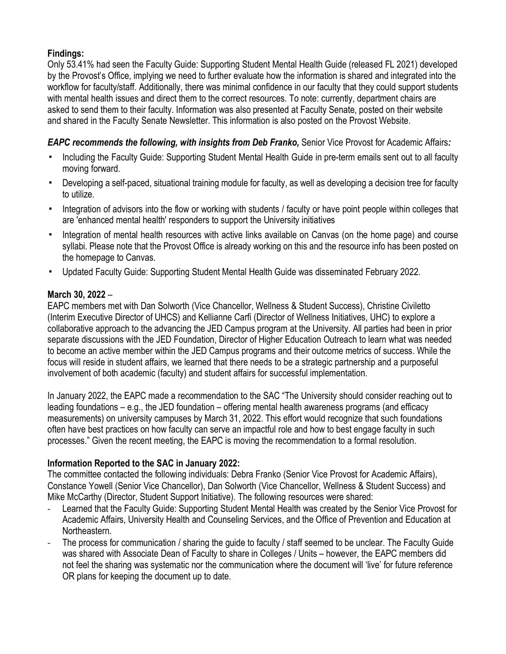## **Findings:**

Only 53.41% had seen the Faculty Guide: Supporting Student Mental Health Guide (released FL 2021) developed by the Provost's Office, implying we need to further evaluate how the information is shared and integrated into the workflow for faculty/staff. Additionally, there was minimal confidence in our faculty that they could support students with mental health issues and direct them to the correct resources. To note: currently, department chairs are asked to send them to their faculty. Information was also presented at Faculty Senate, posted on their website and shared in the Faculty Senate Newsletter. This information is also posted on the Provost Website.

## *EAPC recommends the following, with insights from Deb Franko,* Senior Vice Provost for Academic Affairs*:*

- Including the Faculty Guide: Supporting Student Mental Health Guide in pre-term emails sent out to all faculty moving forward.
- Developing a self-paced, situational training module for faculty, as well as developing a decision tree for faculty to utilize.
- Integration of advisors into the flow or working with students / faculty or have point people within colleges that are 'enhanced mental health' responders to support the University initiatives
- Integration of mental health resources with active links available on Canvas (on the home page) and course syllabi. Please note that the Provost Office is already working on this and the resource info has been posted on the homepage to Canvas.
- Updated Faculty Guide: Supporting Student Mental Health Guide was disseminated February 2022.

## **March 30, 2022** –

EAPC members met with Dan Solworth (Vice Chancellor, Wellness & Student Success), Christine Civiletto (Interim Executive Director of UHCS) and Kellianne Carfi (Director of Wellness Initiatives, UHC) to explore a collaborative approach to the advancing the JED Campus program at the University. All parties had been in prior separate discussions with the JED Foundation, Director of Higher Education Outreach to learn what was needed to become an active member within the JED Campus programs and their outcome metrics of success. While the focus will reside in student affairs, we learned that there needs to be a strategic partnership and a purposeful involvement of both academic (faculty) and student affairs for successful implementation.

In January 2022, the EAPC made a recommendation to the SAC "The University should consider reaching out to leading foundations – e.g., the JED foundation – offering mental health awareness programs (and efficacy measurements) on university campuses by March 31, 2022. This effort would recognize that such foundations often have best practices on how faculty can serve an impactful role and how to best engage faculty in such processes." Given the recent meeting, the EAPC is moving the recommendation to a formal resolution.

#### **Information Reported to the SAC in January 2022:**

The committee contacted the following individuals: Debra Franko (Senior Vice Provost for Academic Affairs), Constance Yowell (Senior Vice Chancellor), Dan Solworth (Vice Chancellor, Wellness & Student Success) and Mike McCarthy (Director, Student Support Initiative). The following resources were shared:

- Learned that the Faculty Guide: Supporting Student Mental Health was created by the Senior Vice Provost for Academic Affairs, University Health and Counseling Services, and the Office of Prevention and Education at Northeastern.
- The process for communication / sharing the guide to faculty / staff seemed to be unclear. The Faculty Guide was shared with Associate Dean of Faculty to share in Colleges / Units – however, the EAPC members did not feel the sharing was systematic nor the communication where the document will 'live' for future reference OR plans for keeping the document up to date.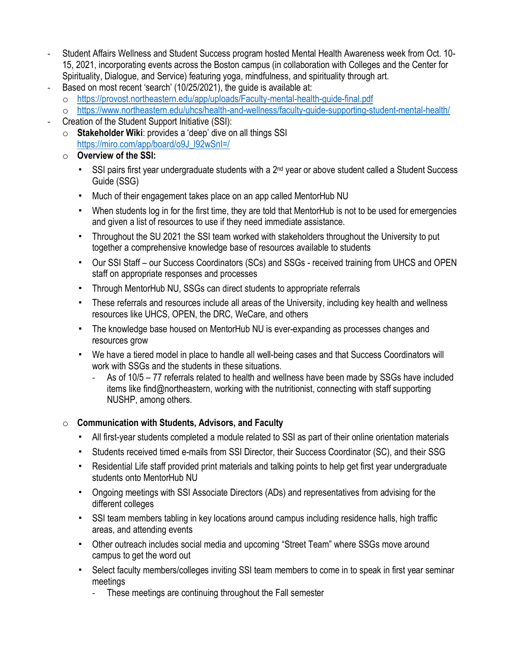- Student Affairs Wellness and Student Success program hosted Mental Health Awareness week from Oct. 10- 15, 2021, incorporating events across the Boston campus (in collaboration with Colleges and the Center for Spirituality, Dialogue, and Service) featuring yoga, mindfulness, and spirituality through art.
- Based on most recent 'search' (10/25/2021), the guide is available at:
	- o <https://provost.northeastern.edu/app/uploads/Faculty-mental-health-guide-final.pdf>
	- o <https://www.northeastern.edu/uhcs/health-and-wellness/faculty-guide-supporting-student-mental-health/>
- Creation of the Student Support Initiative (SSI):
	- o **Stakeholder Wiki**: provides a 'deep' dive on all things SSI [https://miro.com/app/board/o9J\\_l92wSnI=/](https://nam12.safelinks.protection.outlook.com/?url=https://miro.com/app/board/o9J_l92wSnI=/&data=04%257C01%257CJ.VanAmburgh@northeastern.edu%257C7f97391bf7a14e32ba5908d98868d9aa%257Ca8eec281aaa34daeac9b9a398b9215e7%257C0%257C0%257C637690806185047273%257CUnknown%257CTWFpbGZsb3d8eyJWIjoiMC4wLjAwMDAiLCJQIjoiV2luMzIiLCJBTiI6Ik1haWwiLCJXVCI6Mn0=%257C1000&sdata=ovrarttP3ykquyK2tlqXGxLNgK118xdTzvlXJq/0g5c=&reserved=0)
	- o **Overview of the SSI:**
		- SSI pairs first year undergraduate students with a 2<sup>nd</sup> year or above student called a Student Success Guide (SSG)
		- Much of their engagement takes place on an app called MentorHub NU
		- When students log in for the first time, they are told that MentorHub is not to be used for emergencies and given a list of resources to use if they need immediate assistance.
		- Throughout the SU 2021 the SSI team worked with stakeholders throughout the University to put together a comprehensive knowledge base of resources available to students
		- Our SSI Staff our Success Coordinators (SCs) and SSGs received training from UHCS and OPEN staff on appropriate responses and processes
		- Through MentorHub NU, SSGs can direct students to appropriate referrals
		- These referrals and resources include all areas of the University, including key health and wellness resources like UHCS, OPEN, the DRC, WeCare, and others
		- The knowledge base housed on MentorHub NU is ever-expanding as processes changes and resources grow
		- We have a tiered model in place to handle all well-being cases and that Success Coordinators will work with SSGs and the students in these situations.
			- As of 10/5 77 referrals related to health and wellness have been made by SSGs have included items like find@northeastern, working with the nutritionist, connecting with staff supporting NUSHP, among others.

#### o **Communication with Students, Advisors, and Faculty**

- All first-year students completed a module related to SSI as part of their online orientation materials
- Students received timed e-mails from SSI Director, their Success Coordinator (SC), and their SSG
- Residential Life staff provided print materials and talking points to help get first year undergraduate students onto MentorHub NU
- Ongoing meetings with SSI Associate Directors (ADs) and representatives from advising for the different colleges
- SSI team members tabling in key locations around campus including residence halls, high traffic areas, and attending events
- Other outreach includes social media and upcoming "Street Team" where SSGs move around campus to get the word out
- Select faculty members/colleges inviting SSI team members to come in to speak in first year seminar meetings
	- These meetings are continuing throughout the Fall semester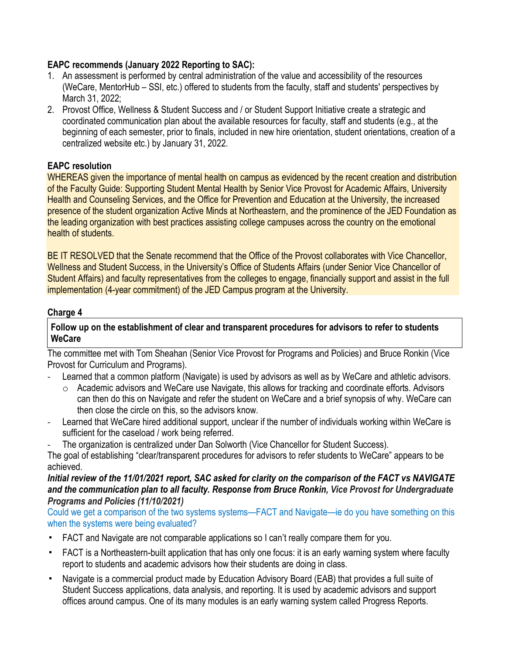## **EAPC recommends (January 2022 Reporting to SAC):**

- 1. An assessment is performed by central administration of the value and accessibility of the resources (WeCare, MentorHub – SSI, etc.) offered to students from the faculty, staff and students' perspectives by March 31, 2022;
- 2. Provost Office, Wellness & Student Success and / or Student Support Initiative create a strategic and coordinated communication plan about the available resources for faculty, staff and students (e.g., at the beginning of each semester, prior to finals, included in new hire orientation, student orientations, creation of a centralized website etc.) by January 31, 2022.

## **EAPC resolution**

WHEREAS given the importance of mental health on campus as evidenced by the recent creation and distribution of the Faculty Guide: Supporting Student Mental Health by Senior Vice Provost for Academic Affairs, University Health and Counseling Services, and the Office for Prevention and Education at the University, the increased presence of the student organization Active Minds at Northeastern, and the prominence of the JED Foundation as the leading organization with best practices assisting college campuses across the country on the emotional health of students.

BE IT RESOLVED that the Senate recommend that the Office of the Provost collaborates with Vice Chancellor, Wellness and Student Success, in the University's Office of Students Affairs (under Senior Vice Chancellor of Student Affairs) and faculty representatives from the colleges to engage, financially support and assist in the full implementation (4-year commitment) of the JED Campus program at the University.

## **Charge 4**

#### **Follow up on the establishment of clear and transparent procedures for advisors to refer to students WeCare**

The committee met with Tom Sheahan (Senior Vice Provost for Programs and Policies) and Bruce Ronkin (Vice Provost for Curriculum and Programs).

- Learned that a common platform (Navigate) is used by advisors as well as by WeCare and athletic advisors.
	- o Academic advisors and WeCare use Navigate, this allows for tracking and coordinate efforts. Advisors can then do this on Navigate and refer the student on WeCare and a brief synopsis of why. WeCare can then close the circle on this, so the advisors know.
- Learned that WeCare hired additional support, unclear if the number of individuals working within WeCare is sufficient for the caseload / work being referred.
- The organization is centralized under Dan Solworth (Vice Chancellor for Student Success).

The goal of establishing "clear/transparent procedures for advisors to refer students to WeCare" appears to be achieved.

#### Initial review of the 11/01/2021 report, SAC asked for clarity on the comparison of the FACT vs NAVIGATE *and the communication plan to all faculty. Response from Bruce Ronkin, Vice Provost for Undergraduate Programs and Policies (11/10/2021)*

Could we get a comparison of the two systems systems—FACT and Navigate—ie do you have something on this when the systems were being evaluated?

- FACT and Navigate are not comparable applications so I can't really compare them for you.
- FACT is a Northeastern-built application that has only one focus: it is an early warning system where faculty report to students and academic advisors how their students are doing in class.
- Navigate is a commercial product made by Education Advisory Board (EAB) that provides a full suite of Student Success applications, data analysis, and reporting. It is used by academic advisors and support offices around campus. One of its many modules is an early warning system called Progress Reports.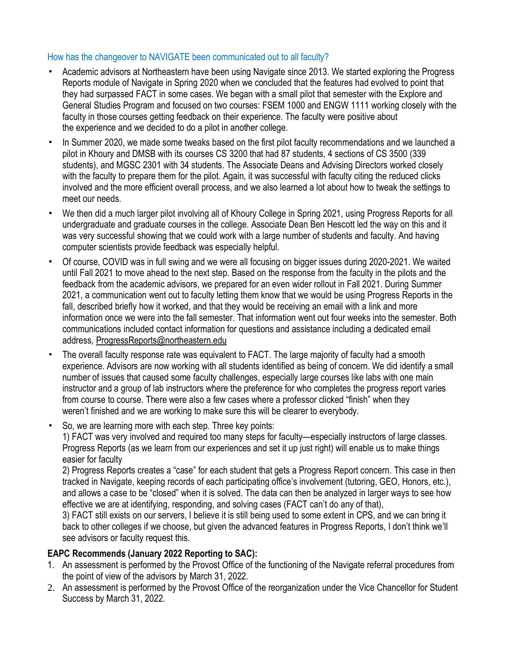## How has the changeover to NAVIGATE been communicated out to all faculty?

- Academic advisors at Northeastern have been using Navigate since 2013. We started exploring the Progress Reports module of Navigate in Spring 2020 when we concluded that the features had evolved to point that they had surpassed FACT in some cases. We began with a small pilot that semester with the Explore and General Studies Program and focused on two courses: FSEM 1000 and ENGW 1111 working closely with the faculty in those courses getting feedback on their experience. The faculty were positive about the experience and we decided to do a pilot in another college.
- In Summer 2020, we made some tweaks based on the first pilot faculty recommendations and we launched a pilot in Khoury and DMSB with its courses CS 3200 that had 87 students, 4 sections of CS 3500 (339 students), and MGSC 2301 with 34 students. The Associate Deans and Advising Directors worked closely with the faculty to prepare them for the pilot. Again, it was successful with faculty citing the reduced clicks involved and the more efficient overall process, and we also learned a lot about how to tweak the settings to meet our needs.
- We then did a much larger pilot involving all of Khoury College in Spring 2021, using Progress Reports for all undergraduate and graduate courses in the college. Associate Dean Ben Hescott led the way on this and it was very successful showing that we could work with a large number of students and faculty. And having computer scientists provide feedback was especially helpful.
- Of course, COVID was in full swing and we were all focusing on bigger issues during 2020-2021. We waited until Fall 2021 to move ahead to the next step. Based on the response from the faculty in the pilots and the feedback from the academic advisors, we prepared for an even wider rollout in Fall 2021. During Summer 2021, a communication went out to faculty letting them know that we would be using Progress Reports in the fall, described briefly how it worked, and that they would be receiving an email with a link and more information once we were into the fall semester. That information went out four weeks into the semester. Both communications included contact information for questions and assistance including a dedicated email address, [ProgressReports@northeastern.edu](mailto:ProgressReports@northeastern.edu)
- The overall faculty response rate was equivalent to FACT. The large majority of faculty had a smooth experience. Advisors are now working with all students identified as being of concern. We did identify a small number of issues that caused some faculty challenges, especially large courses like labs with one main instructor and a group of lab instructors where the preference for who completes the progress report varies from course to course. There were also a few cases where a professor clicked "finish" when they weren't finished and we are working to make sure this will be clearer to everybody.
- So, we are learning more with each step. Three key points:

1) FACT was very involved and required too many steps for faculty—especially instructors of large classes. Progress Reports (as we learn from our experiences and set it up just right) will enable us to make things easier for faculty

2) Progress Reports creates a "case" for each student that gets a Progress Report concern. This case in then tracked in Navigate, keeping records of each participating office's involvement (tutoring, GEO, Honors, etc.), and allows a case to be "closed" when it is solved. The data can then be analyzed in larger ways to see how effective we are at identifying, responding, and solving cases (FACT can't do any of that),

3) FACT still exists on our servers, I believe it is still being used to some extent in CPS, and we can bring it back to other colleges if we choose, but given the advanced features in Progress Reports, I don't think we'll see advisors or faculty request this.

## **EAPC Recommends (January 2022 Reporting to SAC):**

- 1. An assessment is performed by the Provost Office of the functioning of the Navigate referral procedures from the point of view of the advisors by March 31, 2022.
- 2. An assessment is performed by the Provost Office of the reorganization under the Vice Chancellor for Student Success by March 31, 2022.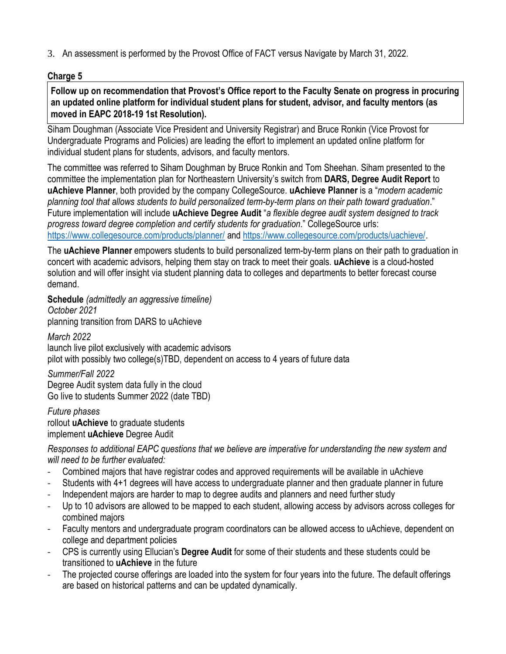3. An assessment is performed by the Provost Office of FACT versus Navigate by March 31, 2022.

## **Charge 5**

**Follow up on recommendation that Provost's Office report to the Faculty Senate on progress in procuring an updated online platform for individual student plans for student, advisor, and faculty mentors (as moved in EAPC 2018-19 1st Resolution).**

Siham Doughman (Associate Vice President and University Registrar) and Bruce Ronkin (Vice Provost for Undergraduate Programs and Policies) are leading the effort to implement an updated online platform for individual student plans for students, advisors, and faculty mentors.

The committee was referred to Siham Doughman by Bruce Ronkin and Tom Sheehan. Siham presented to the committee the implementation plan for Northeastern University's switch from **DARS, Degree Audit Report** to **uAchieve Planner**, both provided by the company CollegeSource. **uAchieve Planner** is a "*modern academic planning tool that allows students to build personalized term-by-term plans on their path toward graduation*." Future implementation will include **uAchieve Degree Audit** "*a flexible degree audit system designed to track progress toward degree completion and certify students for graduation*." CollegeSource urls: <https://www.collegesource.com/products/planner/> and [https://www.collegesource.com/products/uachieve/.](https://www.collegesource.com/products/uachieve/)

The **uAchieve Planner** empowers students to build personalized term-by-term plans on their path to graduation in concert with academic advisors, helping them stay on track to meet their goals. **uAchieve** is a cloud-hosted solution and will offer insight via student planning data to colleges and departments to better forecast course demand.

**Schedule** *(admittedly an aggressive timeline)*

*October 2021* planning transition from DARS to uAchieve *March 2022* launch live pilot exclusively with academic advisors pilot with possibly two college(s)TBD, dependent on access to 4 years of future data

*Summer/Fall 2022* Degree Audit system data fully in the cloud Go live to students Summer 2022 (date TBD)

*Future phases* rollout **uAchieve** to graduate students implement **uAchieve** Degree Audit

*Responses to additional EAPC questions that we believe are imperative for understanding the new system and will need to be further evaluated:*

- Combined majors that have registrar codes and approved requirements will be available in uAchieve
- Students with 4+1 degrees will have access to undergraduate planner and then graduate planner in future
- Independent majors are harder to map to degree audits and planners and need further study
- Up to 10 advisors are allowed to be mapped to each student, allowing access by advisors across colleges for combined majors
- Faculty mentors and undergraduate program coordinators can be allowed access to uAchieve, dependent on college and department policies
- CPS is currently using Ellucian's **Degree Audit** for some of their students and these students could be transitioned to **uAchieve** in the future
- The projected course offerings are loaded into the system for four years into the future. The default offerings are based on historical patterns and can be updated dynamically.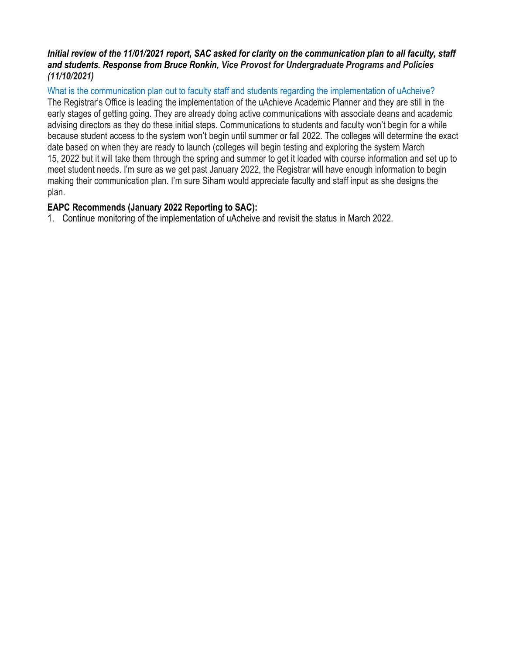## Initial review of the 11/01/2021 report, SAC asked for clarity on the communication plan to all faculty, staff *and students. Response from Bruce Ronkin, Vice Provost for Undergraduate Programs and Policies (11/10/2021)*

What is the communication plan out to faculty staff and students regarding the implementation of uAcheive?

The Registrar's Office is leading the implementation of the uAchieve Academic Planner and they are still in the early stages of getting going. They are already doing active communications with associate deans and academic advising directors as they do these initial steps. Communications to students and faculty won't begin for a while because student access to the system won't begin until summer or fall 2022. The colleges will determine the exact date based on when they are ready to launch (colleges will begin testing and exploring the system March 15, 2022 but it will take them through the spring and summer to get it loaded with course information and set up to meet student needs. I'm sure as we get past January 2022, the Registrar will have enough information to begin making their communication plan. I'm sure Siham would appreciate faculty and staff input as she designs the plan.

## **EAPC Recommends (January 2022 Reporting to SAC):**

1. Continue monitoring of the implementation of uAcheive and revisit the status in March 2022.